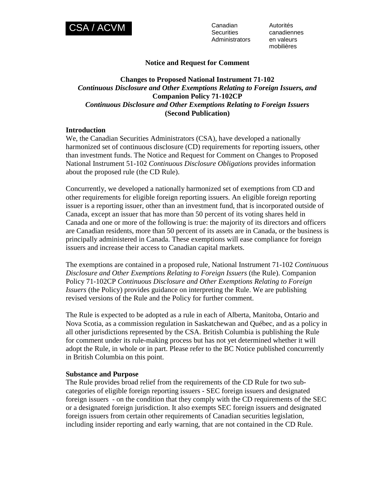

**Securities Administrators**  Autorités canadiennes en valeurs mobilières

# **Notice and Request for Comment**

# **Changes to Proposed National Instrument 71-102**  *Continuous Disclosure and Other Exemptions Relating to Foreign Issuers, and*  **Companion Policy 71-102CP**  *Continuous Disclosure and Other Exemptions Relating to Foreign Issuers*  **(Second Publication)**

### **Introduction**

We, the Canadian Securities Administrators (CSA), have developed a nationally harmonized set of continuous disclosure (CD) requirements for reporting issuers, other than investment funds. The Notice and Request for Comment on Changes to Proposed National Instrument 51-102 *Continuous Disclosure Obligations* provides information about the proposed rule (the CD Rule).

Concurrently, we developed a nationally harmonized set of exemptions from CD and other requirements for eligible foreign reporting issuers. An eligible foreign reporting issuer is a reporting issuer, other than an investment fund, that is incorporated outside of Canada, except an issuer that has more than 50 percent of its voting shares held in Canada and one or more of the following is true: the majority of its directors and officers are Canadian residents, more than 50 percent of its assets are in Canada, or the business is principally administered in Canada. These exemptions will ease compliance for foreign issuers and increase their access to Canadian capital markets.

The exemptions are contained in a proposed rule, National Instrument 71-102 *Continuous Disclosure and Other Exemptions Relating to Foreign Issuers* (the Rule). Companion Policy 71-102CP *Continuous Disclosure and Other Exemptions Relating to Foreign Issuers* (the Policy) provides guidance on interpreting the Rule. We are publishing revised versions of the Rule and the Policy for further comment.

The Rule is expected to be adopted as a rule in each of Alberta, Manitoba, Ontario and Nova Scotia, as a commission regulation in Saskatchewan and Québec, and as a policy in all other jurisdictions represented by the CSA. British Columbia is publishing the Rule for comment under its rule-making process but has not yet determined whether it will adopt the Rule, in whole or in part. Please refer to the BC Notice published concurrently in British Columbia on this point.

#### **Substance and Purpose**

The Rule provides broad relief from the requirements of the CD Rule for two subcategories of eligible foreign reporting issuers - SEC foreign issuers and designated foreign issuers - on the condition that they comply with the CD requirements of the SEC or a designated foreign jurisdiction. It also exempts SEC foreign issuers and designated foreign issuers from certain other requirements of Canadian securities legislation, including insider reporting and early warning, that are not contained in the CD Rule.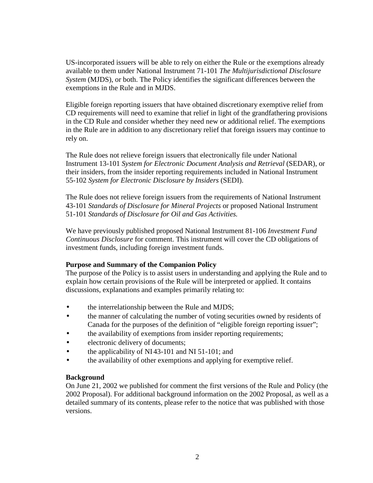US-incorporated issuers will be able to rely on either the Rule or the exemptions already available to them under National Instrument 71-101 *The Multijurisdictional Disclosure System* (MJDS), or both. The Policy identifies the significant differences between the exemptions in the Rule and in MJDS.

Eligible foreign reporting issuers that have obtained discretionary exemptive relief from CD requirements will need to examine that relief in light of the grandfathering provisions in the CD Rule and consider whether they need new or additional relief. The exemptions in the Rule are in addition to any discretionary relief that foreign issuers may continue to rely on.

The Rule does not relieve foreign issuers that electronically file under National Instrument 13-101 *System for Electronic Document Analysis and Retrieval* (SEDAR), or their insiders, from the insider reporting requirements included in National Instrument 55-102 *System for Electronic Disclosure by Insiders* (SEDI).

The Rule does not relieve foreign issuers from the requirements of National Instrument 43-101 *Standards of Disclosure for Mineral Projects* or proposed National Instrument 51-101 *Standards of Disclosure for Oil and Gas Activities.*

We have previously published proposed National Instrument 81-106 *Investment Fund Continuous Disclosure* for comment. This instrument will cover the CD obligations of investment funds, including foreign investment funds.

## **Purpose and Summary of the Companion Policy**

The purpose of the Policy is to assist users in understanding and applying the Rule and to explain how certain provisions of the Rule will be interpreted or applied. It contains discussions, explanations and examples primarily relating to:

- the interrelationship between the Rule and MJDS;
- the manner of calculating the number of voting securities owned by residents of Canada for the purposes of the definition of "eligible foreign reporting issuer";
- the availability of exemptions from insider reporting requirements;
- electronic delivery of documents;
- the applicability of NI43-101 and NI 51-101; and
- the availability of other exemptions and applying for exemptive relief.

## **Background**

On June 21, 2002 we published for comment the first versions of the Rule and Policy (the 2002 Proposal). For additional background information on the 2002 Proposal, as well as a detailed summary of its contents, please refer to the notice that was published with those versions.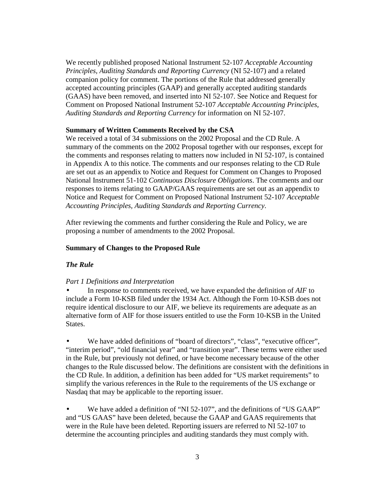We recently published proposed National Instrument 52-107 *Acceptable Accounting Principles, Auditing Standards and Reporting Currency* (NI 52-107) and a related companion policy for comment. The portions of the Rule that addressed generally accepted accounting principles (GAAP) and generally accepted auditing standards (GAAS) have been removed, and inserted into NI 52-107. See Notice and Request for Comment on Proposed National Instrument 52-107 *Acceptable Accounting Principles, Auditing Standards and Reporting Currency* for information on NI 52-107.

## **Summary of Written Comments Received by the CSA**

We received a total of 34 submissions on the 2002 Proposal and the CD Rule. A summary of the comments on the 2002 Proposal together with our responses, except for the comments and responses relating to matters now included in NI 52-107, is contained in Appendix A to this notice. The comments and our responses relating to the CD Rule are set out as an appendix to Notice and Request for Comment on Changes to Proposed National Instrument 51-102 *Continuous Disclosure Obligations*. The comments and our responses to items relating to GAAP/GAAS requirements are set out as an appendix to Notice and Request for Comment on Proposed National Instrument 52-107 *Acceptable Accounting Principles, Auditing Standards and Reporting Currency*.

After reviewing the comments and further considering the Rule and Policy, we are proposing a number of amendments to the 2002 Proposal.

# **Summary of Changes to the Proposed Rule**

## *The Rule*

## *Part 1 Definitions and Interpretation*

• In response to comments received, we have expanded the definition of *AIF* to include a Form 10-KSB filed under the 1934 Act. Although the Form 10-KSB does not require identical disclosure to our AIF, we believe its requirements are adequate as an alternative form of AIF for those issuers entitled to use the Form 10-KSB in the United States.

We have added definitions of "board of directors", "class", "executive officer", "interim period", "old financial year" and "transition year". These terms were either used in the Rule, but previously not defined, or have become necessary because of the other changes to the Rule discussed below. The definitions are consistent with the definitions in the CD Rule. In addition, a definition has been added for "US market requirements" to simplify the various references in the Rule to the requirements of the US exchange or Nasdaq that may be applicable to the reporting issuer.

We have added a definition of "NI 52-107", and the definitions of "US GAAP" and "US GAAS" have been deleted, because the GAAP and GAAS requirements that were in the Rule have been deleted. Reporting issuers are referred to NI 52-107 to determine the accounting principles and auditing standards they must comply with.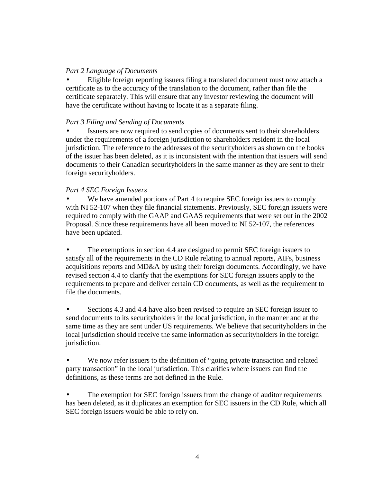## *Part 2 Language of Documents*

• Eligible foreign reporting issuers filing a translated document must now attach a certificate as to the accuracy of the translation to the document, rather than file the certificate separately. This will ensure that any investor reviewing the document will have the certificate without having to locate it as a separate filing.

## *Part 3 Filing and Sending of Documents*

Issuers are now required to send copies of documents sent to their shareholders under the requirements of a foreign jurisdiction to shareholders resident in the local jurisdiction. The reference to the addresses of the securityholders as shown on the books of the issuer has been deleted, as it is inconsistent with the intention that issuers will send documents to their Canadian securityholders in the same manner as they are sent to their foreign securityholders.

## *Part 4 SEC Foreign Issuers*

We have amended portions of Part 4 to require SEC foreign issuers to comply with NI 52-107 when they file financial statements. Previously, SEC foreign issuers were required to comply with the GAAP and GAAS requirements that were set out in the 2002 Proposal. Since these requirements have all been moved to NI 52-107, the references have been updated.

• The exemptions in section 4.4 are designed to permit SEC foreign issuers to satisfy all of the requirements in the CD Rule relating to annual reports, AIFs, business acquisitions reports and MD&A by using their foreign documents. Accordingly, we have revised section 4.4 to clarify that the exemptions for SEC foreign issuers apply to the requirements to prepare and deliver certain CD documents, as well as the requirement to file the documents.

• Sections 4.3 and 4.4 have also been revised to require an SEC foreign issuer to send documents to its securityholders in the local jurisdiction, in the manner and at the same time as they are sent under US requirements. We believe that securityholders in the local jurisdiction should receive the same information as securityholders in the foreign jurisdiction.

• We now refer issuers to the definition of "going private transaction and related party transaction" in the local jurisdiction. This clarifies where issuers can find the definitions, as these terms are not defined in the Rule.

The exemption for SEC foreign issuers from the change of auditor requirements has been deleted, as it duplicates an exemption for SEC issuers in the CD Rule, which all SEC foreign issuers would be able to rely on.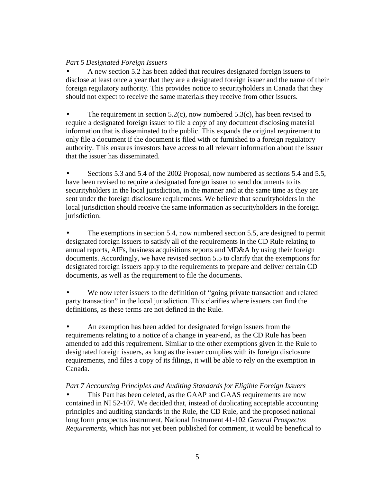# *Part 5 Designated Foreign Issuers*

• A new section 5.2 has been added that requires designated foreign issuers to disclose at least once a year that they are a designated foreign issuer and the name of their foreign regulatory authority. This provides notice to securityholders in Canada that they should not expect to receive the same materials they receive from other issuers.

The requirement in section  $5.2(c)$ , now numbered  $5.3(c)$ , has been revised to require a designated foreign issuer to file a copy of any document disclosing material information that is disseminated to the public. This expands the original requirement to only file a document if the document is filed with or furnished to a foreign regulatory authority. This ensures investors have access to all relevant information about the issuer that the issuer has disseminated.

• Sections 5.3 and 5.4 of the 2002 Proposal, now numbered as sections 5.4 and 5.5, have been revised to require a designated foreign issuer to send documents to its securityholders in the local jurisdiction, in the manner and at the same time as they are sent under the foreign disclosure requirements. We believe that securityholders in the local jurisdiction should receive the same information as securityholders in the foreign jurisdiction.

The exemptions in section 5.4, now numbered section 5.5, are designed to permit designated foreign issuers to satisfy all of the requirements in the CD Rule relating to annual reports, AIFs, business acquisitions reports and MD&A by using their foreign documents. Accordingly, we have revised section 5.5 to clarify that the exemptions for designated foreign issuers apply to the requirements to prepare and deliver certain CD documents, as well as the requirement to file the documents.

We now refer issuers to the definition of "going private transaction and related party transaction" in the local jurisdiction. This clarifies where issuers can find the definitions, as these terms are not defined in the Rule.

• An exemption has been added for designated foreign issuers from the requirements relating to a notice of a change in year-end, as the CD Rule has been amended to add this requirement. Similar to the other exemptions given in the Rule to designated foreign issuers, as long as the issuer complies with its foreign disclosure requirements, and files a copy of its filings, it will be able to rely on the exemption in Canada.

*Part 7 Accounting Principles and Auditing Standards for Eligible Foreign Issuers*

This Part has been deleted, as the GAAP and GAAS requirements are now contained in NI 52-107. We decided that, instead of duplicating acceptable accounting principles and auditing standards in the Rule, the CD Rule, and the proposed national long form prospectus instrument, National Instrument 41-102 *General Prospectus Requirements*, which has not yet been published for comment, it would be beneficial to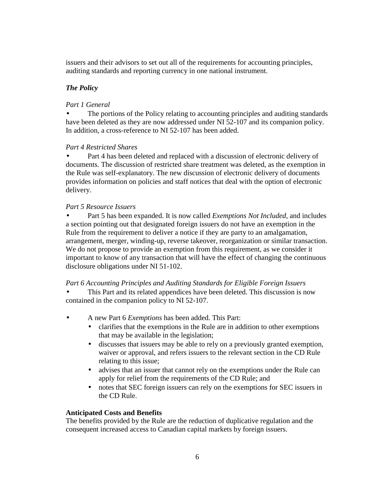issuers and their advisors to set out all of the requirements for accounting principles, auditing standards and reporting currency in one national instrument.

# *The Policy*

# *Part 1 General*

The portions of the Policy relating to accounting principles and auditing standards have been deleted as they are now addressed under NI 52-107 and its companion policy. In addition, a cross-reference to NI 52-107 has been added.

## *Part 4 Restricted Shares*

• Part 4 has been deleted and replaced with a discussion of electronic delivery of documents. The discussion of restricted share treatment was deleted, as the exemption in the Rule was self-explanatory. The new discussion of electronic delivery of documents provides information on policies and staff notices that deal with the option of electronic delivery.

## *Part 5 Resource Issuers*

• Part 5 has been expanded. It is now called *Exemptions Not Included*, and includes a section pointing out that designated foreign issuers do not have an exemption in the Rule from the requirement to deliver a notice if they are party to an amalgamation, arrangement, merger, winding-up, reverse takeover, reorganization or similar transaction. We do not propose to provide an exemption from this requirement, as we consider it important to know of any transaction that will have the effect of changing the continuous disclosure obligations under NI 51-102.

## *Part 6 Accounting Principles and Auditing Standards for Eligible Foreign Issuers*

- This Part and its related appendices have been deleted. This discussion is now contained in the companion policy to NI 52-107.
- A new Part 6 *Exemptions* has been added. This Part:
	- clarifies that the exemptions in the Rule are in addition to other exemptions that may be available in the legislation;
	- discusses that issuers may be able to rely on a previously granted exemption, waiver or approval, and refers issuers to the relevant section in the CD Rule relating to this issue;
	- advises that an issuer that cannot rely on the exemptions under the Rule can apply for relief from the requirements of the CD Rule; and
	- notes that SEC foreign issuers can rely on the exemptions for SEC issuers in the CD Rule.

# **Anticipated Costs and Benefits**

The benefits provided by the Rule are the reduction of duplicative regulation and the consequent increased access to Canadian capital markets by foreign issuers.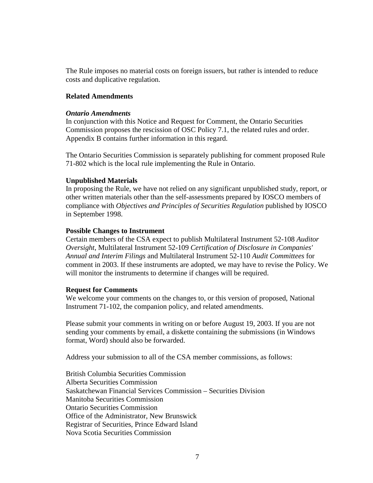The Rule imposes no material costs on foreign issuers, but rather is intended to reduce costs and duplicative regulation.

### **Related Amendments**

#### *Ontario Amendments*

In conjunction with this Notice and Request for Comment, the Ontario Securities Commission proposes the rescission of OSC Policy 7.1, the related rules and order. Appendix B contains further information in this regard.

The Ontario Securities Commission is separately publishing for comment proposed Rule 71-802 which is the local rule implementing the Rule in Ontario.

#### **Unpublished Materials**

In proposing the Rule, we have not relied on any significant unpublished study, report, or other written materials other than the self-assessments prepared by IOSCO members of compliance with *Objectives and Principles of Securities Regulation* published by IOSCO in September 1998.

#### **Possible Changes to Instrument**

Certain members of the CSA expect to publish Multilateral Instrument 52-108 *Auditor Oversight*, Multilateral Instrument 52-109 *Certification of Disclosure in Companies' Annual and Interim Filings* and Multilateral Instrument 52-110 *Audit Committees* for comment in 2003. If these instruments are adopted, we may have to revise the Policy. We will monitor the instruments to determine if changes will be required.

#### **Request for Comments**

We welcome your comments on the changes to, or this version of proposed, National Instrument 71-102, the companion policy, and related amendments.

Please submit your comments in writing on or before August 19, 2003. If you are not sending your comments by email, a diskette containing the submissions (in Windows format, Word) should also be forwarded.

Address your submission to all of the CSA member commissions, as follows:

British Columbia Securities Commission Alberta Securities Commission Saskatchewan Financial Services Commission – Securities Division Manitoba Securities Commission Ontario Securities Commission Office of the Administrator, New Brunswick Registrar of Securities, Prince Edward Island Nova Scotia Securities Commission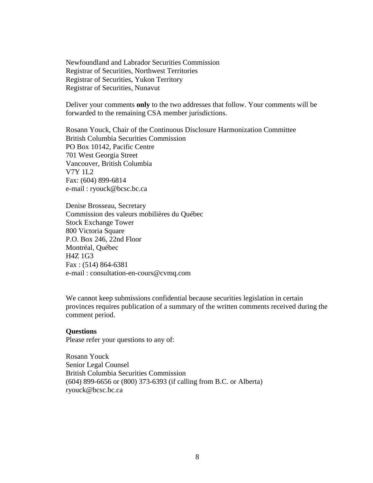Newfoundland and Labrador Securities Commission Registrar of Securities, Northwest Territories Registrar of Securities, Yukon Territory Registrar of Securities, Nunavut

Deliver your comments **only** to the two addresses that follow. Your comments will be forwarded to the remaining CSA member jurisdictions.

Rosann Youck, Chair of the Continuous Disclosure Harmonization Committee British Columbia Securities Commission PO Box 10142, Pacific Centre 701 West Georgia Street Vancouver, British Columbia V7Y 1L2 Fax: (604) 899-6814 e-mail : ryouck@bcsc.bc.ca

Denise Brosseau, Secretary Commission des valeurs mobilières du Québec Stock Exchange Tower 800 Victoria Square P.O. Box 246, 22nd Floor Montréal, Québec H4Z 1G3 Fax : (514) 864-6381 e-mail : consultation-en-cours@cvmq.com

We cannot keep submissions confidential because securities legislation in certain provinces requires publication of a summary of the written comments received during the comment period.

### **Questions**

Please refer your questions to any of:

Rosann Youck Senior Legal Counsel British Columbia Securities Commission (604) 899-6656 or (800) 373-6393 (if calling from B.C. or Alberta) ryouck@bcsc.bc.ca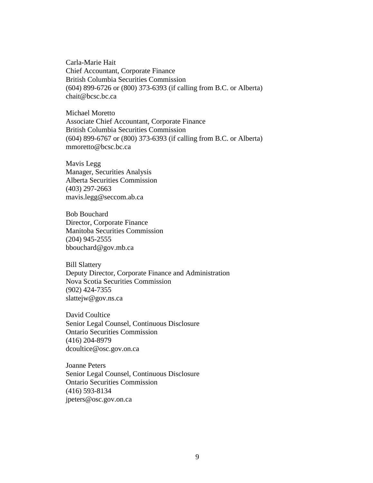Carla-Marie Hait Chief Accountant, Corporate Finance British Columbia Securities Commission (604) 899-6726 or (800) 373-6393 (if calling from B.C. or Alberta) chait@bcsc.bc.ca

Michael Moretto Associate Chief Accountant, Corporate Finance British Columbia Securities Commission (604) 899-6767 or (800) 373-6393 (if calling from B.C. or Alberta) mmoretto@bcsc.bc.ca

Mavis Legg Manager, Securities Analysis Alberta Securities Commission (403) 297-2663 mavis.legg@seccom.ab.ca

Bob Bouchard Director, Corporate Finance Manitoba Securities Commission (204) 945-2555 bbouchard@gov.mb.ca

Bill Slattery Deputy Director, Corporate Finance and Administration Nova Scotia Securities Commission (902) 424-7355 slattejw@gov.ns.ca

David Coultice Senior Legal Counsel, Continuous Disclosure Ontario Securities Commission (416) 204-8979 dcoultice@osc.gov.on.ca

Joanne Peters Senior Legal Counsel, Continuous Disclosure Ontario Securities Commission (416) 593-8134 jpeters@osc.gov.on.ca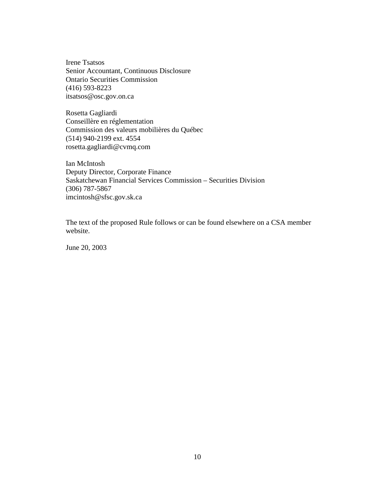Irene Tsatsos Senior Accountant, Continuous Disclosure Ontario Securities Commission (416) 593-8223 itsatsos@osc.gov.on.ca

Rosetta Gagliardi Conseillère en réglementation Commission des valeurs mobilières du Québec (514) 940-2199 ext. 4554 rosetta.gagliardi@cvmq.com

Ian McIntosh Deputy Director, Corporate Finance Saskatchewan Financial Services Commission – Securities Division (306) 787-5867 imcintosh@sfsc.gov.sk.ca

The text of the proposed Rule follows or can be found elsewhere on a CSA member website.

June 20, 2003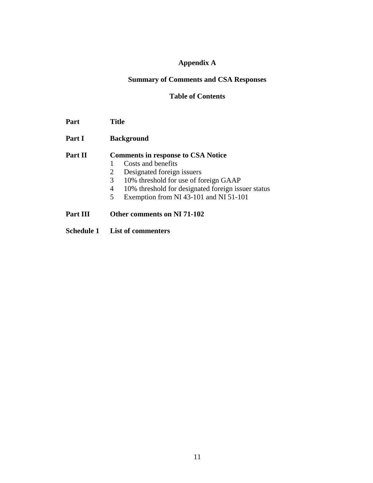# **Appendix A**

# **Summary of Comments and CSA Responses**

### **Table of Contents**

| Part | <b>Title</b> |
|------|--------------|
|------|--------------|

Part I Background

# **Part II Comments in response to CSA Notice**

- 1 Costs and benefits<br>2 Designated foreign
- Designated foreign issuers
- 3 10% threshold for use of foreign GAAP
- 4 10% threshold for designated foreign issuer status
- 5 Exemption from NI 43-101 and NI 51-101
- **Part III Other comments on NI 71-102**
- **Schedule 1 List of commenters**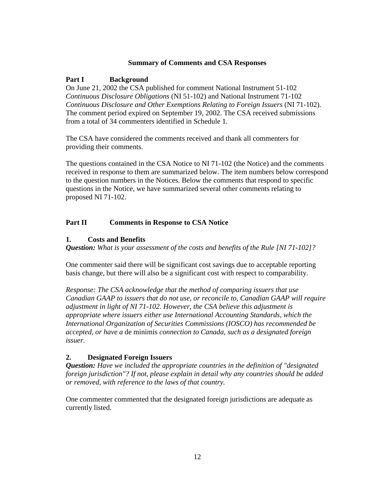## **Summary of Comments and CSA Responses**

# **Part I Background**

On June 21, 2002 the CSA published for comment National Instrument 51-102 *Continuous Disclosure Obligations* (NI 51-102) and National Instrument 71-102 *Continuous Disclosure and Other Exemptions Relating to Foreign Issuers* (NI 71-102). The comment period expired on September 19, 2002. The CSA received submissions from a total of 34 commenters identified in Schedule 1.

The CSA have considered the comments received and thank all commenters for providing their comments.

The questions contained in the CSA Notice to NI 71-102 (the Notice) and the comments received in response to them are summarized below. The item numbers below correspond to the question numbers in the Notices. Below the comments that respond to specific questions in the Notice, we have summarized several other comments relating to proposed NI 71-102.

# **Part II Comments in Response to CSA Notice**

## **1. Costs and Benefits**

*Question: What is your assessment of the costs and benefits of the Rule [NI 71-102]?* 

One commenter said there will be significant cost savings due to acceptable reporting basis change, but there will also be a significant cost with respect to comparability.

*Response: The CSA acknowledge that the method of comparing issuers that use Canadian GAAP to issuers that do not use, or reconcile to, Canadian GAAP will require adjustment in light of NI 71-102. However, the CSA believe this adjustment is appropriate where issuers either use International Accounting Standards, which the International Organization of Securities Commissions (IOSCO) has recommended be accepted, or have a* de minimis *connection to Canada, such as a designated foreign issuer.* 

# **2. Designated Foreign Issuers**

*Question: Have we included the appropriate countries in the definition of "designated foreign jurisdiction"? If not, please explain in detail why any countries should be added or removed, with reference to the laws of that country.* 

One commenter commented that the designated foreign jurisdictions are adequate as currently listed.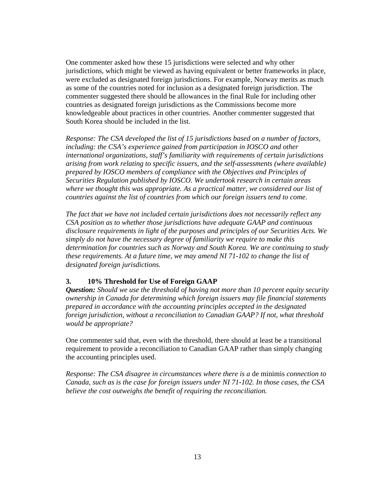One commenter asked how these 15 jurisdictions were selected and why other jurisdictions, which might be viewed as having equivalent or better frameworks in place, were excluded as designated foreign jurisdictions. For example, Norway merits as much as some of the countries noted for inclusion as a designated foreign jurisdiction. The commenter suggested there should be allowances in the final Rule for including other countries as designated foreign jurisdictions as the Commissions become more knowledgeable about practices in other countries. Another commenter suggested that South Korea should be included in the list.

*Response: The CSA developed the list of 15 jurisdictions based on a number of factors, including: the CSA's experience gained from participation in IOSCO and other international organizations, staff's familiarity with requirements of certain jurisdictions arising from work relating to specific issuers, and the self-assessments (where available) prepared by IOSCO members of compliance with the Objectives and Principles of Securities Regulation published by IOSCO. We undertook research in certain areas where we thought this was appropriate. As a practical matter, we considered our list of countries against the list of countries from which our foreign issuers tend to come.* 

*The fact that we have not included certain jurisdictions does not necessarily reflect any CSA position as to whether those jurisdictions have adequate GAAP and continuous disclosure requirements in light of the purposes and principles of our Securities Acts. We simply do not have the necessary degree of familiarity we require to make this determination for countries such as Norway and South Korea. We are continuing to study these requirements. At a future time, we may amend NI 71-102 to change the list of designated foreign jurisdictions.* 

# **3. 10% Threshold for Use of Foreign GAAP**

*Question: Should we use the threshold of having not more than 10 percent equity security ownership in Canada for determining which foreign issuers may file financial statements prepared in accordance with the accounting principles accepted in the designated foreign jurisdiction, without a reconciliation to Canadian GAAP? If not, what threshold would be appropriate?* 

One commenter said that, even with the threshold, there should at least be a transitional requirement to provide a reconciliation to Canadian GAAP rather than simply changing the accounting principles used.

*Response: The CSA disagree in circumstances where there is a* de minimis *connection to Canada, such as is the case for foreign issuers under NI 71-102. In those cases, the CSA believe the cost outweighs the benefit of requiring the reconciliation.*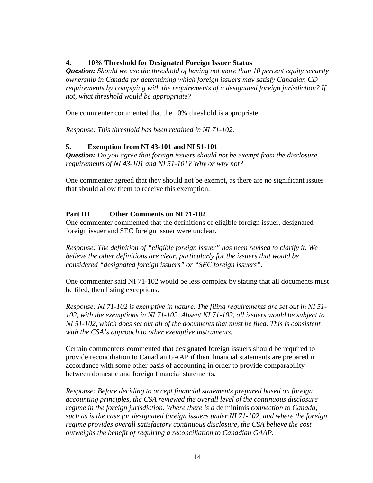# **4. 10% Threshold for Designated Foreign Issuer Status**

*Question: Should we use the threshold of having not more than 10 percent equity security ownership in Canada for determining which foreign issuers may satisfy Canadian CD requirements by complying with the requirements of a designated foreign jurisdiction? If not, what threshold would be appropriate?* 

One commenter commented that the 10% threshold is appropriate.

*Response: This threshold has been retained in NI 71-102.* 

# **5. Exemption from NI 43-101 and NI 51-101**

*Question: Do you agree that foreign issuers should not be exempt from the disclosure requirements of NI 43-101 and NI 51-101? Why or why not?* 

One commenter agreed that they should not be exempt, as there are no significant issues that should allow them to receive this exemption.

# **Part III Other Comments on NI 71-102**

One commenter commented that the definitions of eligible foreign issuer, designated foreign issuer and SEC foreign issuer were unclear.

*Response: The definition of "eligible foreign issuer" has been revised to clarify it. We believe the other definitions are clear, particularly for the issuers that would be considered "designated foreign issuers" or "SEC foreign issuers".* 

One commenter said NI 71-102 would be less complex by stating that all documents must be filed, then listing exceptions.

*Response: NI 71-102 is exemptive in nature. The filing requirements are set out in NI 51- 102, with the exemptions in NI 71-102. Absent NI 71-102, all issuers would be subject to NI 51-102, which does set out all of the documents that must be filed. This is consistent with the CSA's approach to other exemptive instruments.* 

Certain commenters commented that designated foreign issuers should be required to provide reconciliation to Canadian GAAP if their financial statements are prepared in accordance with some other basis of accounting in order to provide comparability between domestic and foreign financial statements.

*Response: Before deciding to accept financial statements prepared based on foreign accounting principles, the CSA reviewed the overall level of the continuous disclosure regime in the foreign jurisdiction. Where there is a* de minimis *connection to Canada, such as is the case for designated foreign issuers under NI 71-102, and where the foreign regime provides overall satisfactory continuous disclosure, the CSA believe the cost outweighs the benefit of requiring a reconciliation to Canadian GAAP.*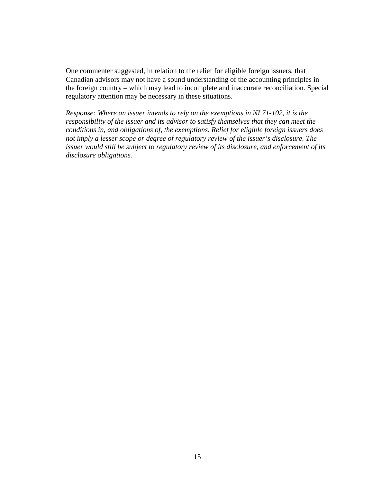One commenter suggested, in relation to the relief for eligible foreign issuers, that Canadian advisors may not have a sound understanding of the accounting principles in the foreign country – which may lead to incomplete and inaccurate reconciliation. Special regulatory attention may be necessary in these situations.

*Response: Where an issuer intends to rely on the exemptions in NI 71-102, it is the responsibility of the issuer and its advisor to satisfy themselves that they can meet the conditions in, and obligations of, the exemptions. Relief for eligible foreign issuers does not imply a lesser scope or degree of regulatory review of the issuer's disclosure. The issuer would still be subject to regulatory review of its disclosure, and enforcement of its disclosure obligations.*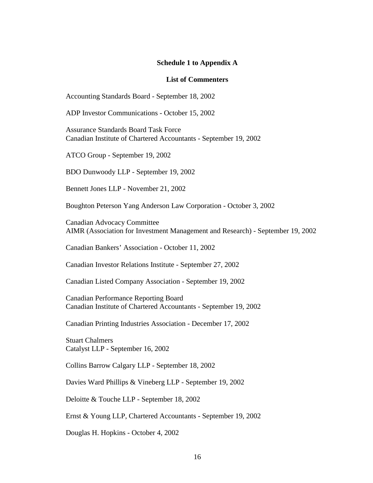#### **Schedule 1 to Appendix A**

#### **List of Commenters**

Accounting Standards Board - September 18, 2002

ADP Investor Communications - October 15, 2002

Assurance Standards Board Task Force Canadian Institute of Chartered Accountants - September 19, 2002

ATCO Group - September 19, 2002

BDO Dunwoody LLP - September 19, 2002

Bennett Jones LLP - November 21, 2002

Boughton Peterson Yang Anderson Law Corporation - October 3, 2002

Canadian Advocacy Committee AIMR (Association for Investment Management and Research) - September 19, 2002

Canadian Bankers' Association - October 11, 2002

Canadian Investor Relations Institute - September 27, 2002

Canadian Listed Company Association - September 19, 2002

Canadian Performance Reporting Board Canadian Institute of Chartered Accountants - September 19, 2002

Canadian Printing Industries Association - December 17, 2002

Stuart Chalmers Catalyst LLP - September 16, 2002

Collins Barrow Calgary LLP - September 18, 2002

Davies Ward Phillips & Vineberg LLP - September 19, 2002

Deloitte & Touche LLP - September 18, 2002

Ernst & Young LLP, Chartered Accountants - September 19, 2002

Douglas H. Hopkins - October 4, 2002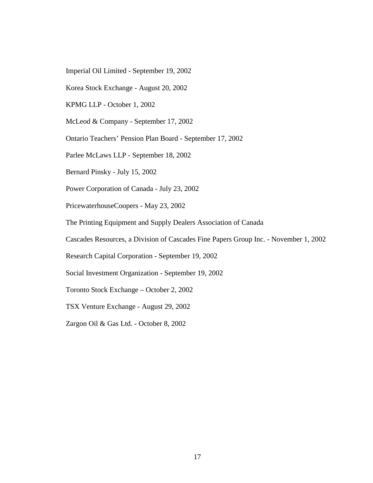- Imperial Oil Limited September 19, 2002
- Korea Stock Exchange August 20, 2002
- KPMG LLP October 1, 2002
- McLeod & Company September 17, 2002
- Ontario Teachers' Pension Plan Board September 17, 2002
- Parlee McLaws LLP September 18, 2002
- Bernard Pinsky July 15, 2002
- Power Corporation of Canada July 23, 2002
- PricewaterhouseCoopers May 23, 2002
- The Printing Equipment and Supply Dealers Association of Canada
- Cascades Resources, a Division of Cascades Fine Papers Group Inc. November 1, 2002
- Research Capital Corporation September 19, 2002
- Social Investment Organization September 19, 2002
- Toronto Stock Exchange October 2, 2002
- TSX Venture Exchange August 29, 2002
- Zargon Oil & Gas Ltd. October 8, 2002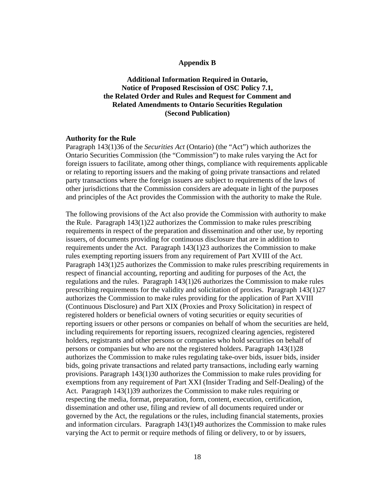#### **Appendix B**

**Additional Information Required in Ontario, Notice of Proposed Rescission of OSC Policy 7.1, the Related Order and Rules and Request for Comment and Related Amendments to Ontario Securities Regulation (Second Publication)** 

## **Authority for the Rule**

Paragraph 143(1)36 of the *Securities Act* (Ontario) (the "Act") which authorizes the Ontario Securities Commission (the "Commission") to make rules varying the Act for foreign issuers to facilitate, among other things, compliance with requirements applicable or relating to reporting issuers and the making of going private transactions and related party transactions where the foreign issuers are subject to requirements of the laws of other jurisdictions that the Commission considers are adequate in light of the purposes and principles of the Act provides the Commission with the authority to make the Rule.

The following provisions of the Act also provide the Commission with authority to make the Rule. Paragraph 143(1)22 authorizes the Commission to make rules prescribing requirements in respect of the preparation and dissemination and other use, by reporting issuers, of documents providing for continuous disclosure that are in addition to requirements under the Act. Paragraph 143(1)23 authorizes the Commission to make rules exempting reporting issuers from any requirement of Part XVIII of the Act. Paragraph 143(1)25 authorizes the Commission to make rules prescribing requirements in respect of financial accounting, reporting and auditing for purposes of the Act, the regulations and the rules. Paragraph 143(1)26 authorizes the Commission to make rules prescribing requirements for the validity and solicitation of proxies. Paragraph 143(1)27 authorizes the Commission to make rules providing for the application of Part XVIII (Continuous Disclosure) and Part XIX (Proxies and Proxy Solicitation) in respect of registered holders or beneficial owners of voting securities or equity securities of reporting issuers or other persons or companies on behalf of whom the securities are held, including requirements for reporting issuers, recognized clearing agencies, registered holders, registrants and other persons or companies who hold securities on behalf of persons or companies but who are not the registered holders. Paragraph 143(1)28 authorizes the Commission to make rules regulating take-over bids, issuer bids, insider bids, going private transactions and related party transactions, including early warning provisions. Paragraph 143(1)30 authorizes the Commission to make rules providing for exemptions from any requirement of Part XXI (Insider Trading and Self-Dealing) of the Act. Paragraph 143(1)39 authorizes the Commission to make rules requiring or respecting the media, format, preparation, form, content, execution, certification, dissemination and other use, filing and review of all documents required under or governed by the Act, the regulations or the rules, including financial statements, proxies and information circulars. Paragraph 143(1)49 authorizes the Commission to make rules varying the Act to permit or require methods of filing or delivery, to or by issuers,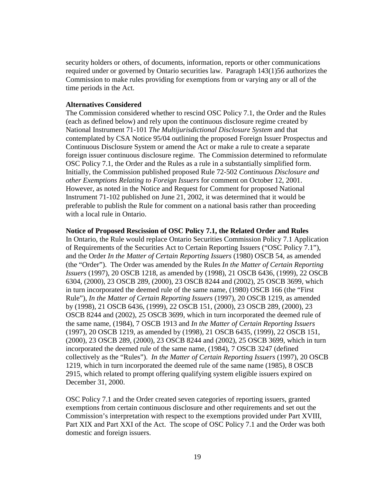security holders or others, of documents, information, reports or other communications required under or governed by Ontario securities law. Paragraph 143(1)56 authorizes the Commission to make rules providing for exemptions from or varying any or all of the time periods in the Act.

### **Alternatives Considered**

The Commission considered whether to rescind OSC Policy 7.1, the Order and the Rules (each as defined below) and rely upon the continuous disclosure regime created by National Instrument 71-101 *The Multijurisdictional Disclosure System* and that contemplated by CSA Notice 95/04 outlining the proposed Foreign Issuer Prospectus and Continuous Disclosure System or amend the Act or make a rule to create a separate foreign issuer continuous disclosure regime. The Commission determined to reformulate OSC Policy 7.1, the Order and the Rules as a rule in a substantially simplified form. Initially, the Commission published proposed Rule 72-502 *Continuous Disclosure and other Exemptions Relating to Foreign Issuers* for comment on October 12, 2001. However, as noted in the Notice and Request for Comment for proposed National Instrument 71-102 published on June 21, 2002, it was determined that it would be preferable to publish the Rule for comment on a national basis rather than proceeding with a local rule in Ontario.

#### **Notice of Proposed Rescission of OSC Policy 7.1, the Related Order and Rules**

In Ontario, the Rule would replace Ontario Securities Commission Policy 7.1 Application of Requirements of the Securities Act to Certain Reporting Issuers ("OSC Policy 7.1"), and the Order *In the Matter of Certain Reporting Issuers* (1980) OSCB 54, as amended (the "Order"). The Order was amended by the Rules *In the Matter of Certain Reporting Issuers* (1997), 20 OSCB 1218, as amended by (1998), 21 OSCB 6436, (1999), 22 OSCB 6304, (2000), 23 OSCB 289, (2000), 23 OSCB 8244 and (2002), 25 OSCB 3699, which in turn incorporated the deemed rule of the same name, (1980) OSCB 166 (the "First Rule"), *In the Matter of Certain Reporting Issuers* (1997), 20 OSCB 1219, as amended by (1998), 21 OSCB 6436, (1999), 22 OSCB 151, (2000), 23 OSCB 289, (2000), 23 OSCB 8244 and (2002), 25 OSCB 3699, which in turn incorporated the deemed rule of the same name, (1984), 7 OSCB 1913 and *In the Matter of Certain Reporting Issuers* (1997), 20 OSCB 1219, as amended by (1998), 21 OSCB 6435, (1999), 22 OSCB 151, (2000), 23 OSCB 289, (2000), 23 OSCB 8244 and (2002), 25 OSCB 3699, which in turn incorporated the deemed rule of the same name, (1984), 7 OSCB 3247 (defined collectively as the "Rules"). *In the Matter of Certain Reporting Issuers* (1997), 20 OSCB 1219, which in turn incorporated the deemed rule of the same name (1985), 8 OSCB 2915, which related to prompt offering qualifying system eligible issuers expired on December 31, 2000.

OSC Policy 7.1 and the Order created seven categories of reporting issuers, granted exemptions from certain continuous disclosure and other requirements and set out the Commission's interpretation with respect to the exemptions provided under Part XVIII, Part XIX and Part XXI of the Act. The scope of OSC Policy 7.1 and the Order was both domestic and foreign issuers.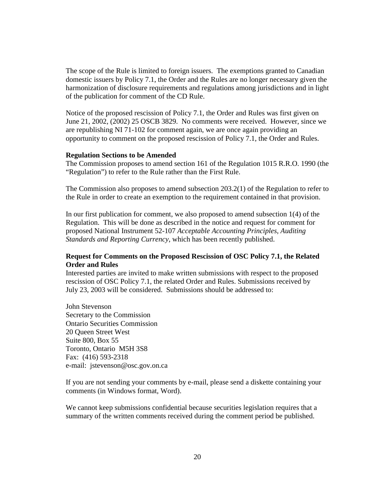The scope of the Rule is limited to foreign issuers. The exemptions granted to Canadian domestic issuers by Policy 7.1, the Order and the Rules are no longer necessary given the harmonization of disclosure requirements and regulations among jurisdictions and in light of the publication for comment of the CD Rule.

Notice of the proposed rescission of Policy 7.1, the Order and Rules was first given on June 21, 2002, (2002) 25 OSCB 3829. No comments were received. However, since we are republishing NI 71-102 for comment again, we are once again providing an opportunity to comment on the proposed rescission of Policy 7.1, the Order and Rules.

#### **Regulation Sections to be Amended**

The Commission proposes to amend section 161 of the Regulation 1015 R.R.O. 1990 (the "Regulation") to refer to the Rule rather than the First Rule.

The Commission also proposes to amend subsection 203.2(1) of the Regulation to refer to the Rule in order to create an exemption to the requirement contained in that provision.

In our first publication for comment, we also proposed to amend subsection 1(4) of the Regulation. This will be done as described in the notice and request for comment for proposed National Instrument 52-107 *Acceptable Accounting Principles, Auditing Standards and Reporting Currency*, which has been recently published.

## **Request for Comments on the Proposed Rescission of OSC Policy 7.1, the Related Order and Rules**

Interested parties are invited to make written submissions with respect to the proposed rescission of OSC Policy 7.1, the related Order and Rules. Submissions received by July 23, 2003 will be considered. Submissions should be addressed to:

John Stevenson Secretary to the Commission Ontario Securities Commission 20 Queen Street West Suite 800, Box 55 Toronto, Ontario M5H 3S8 Fax: (416) 593-2318 e-mail: jstevenson@osc.gov.on.ca

If you are not sending your comments by e-mail, please send a diskette containing your comments (in Windows format, Word).

We cannot keep submissions confidential because securities legislation requires that a summary of the written comments received during the comment period be published.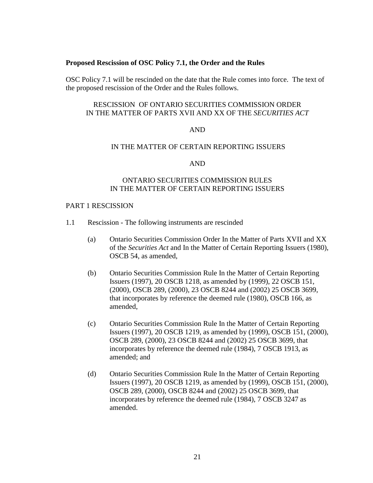### **Proposed Rescission of OSC Policy 7.1, the Order and the Rules**

OSC Policy 7.1 will be rescinded on the date that the Rule comes into force. The text of the proposed rescission of the Order and the Rules follows.

## RESCISSION OF ONTARIO SECURITIES COMMISSION ORDER IN THE MATTER OF PARTS XVII AND XX OF THE *SECURITIES ACT*

### AND

### IN THE MATTER OF CERTAIN REPORTING ISSUERS

### AND

## ONTARIO SECURITIES COMMISSION RULES IN THE MATTER OF CERTAIN REPORTING ISSUERS

## PART 1 RESCISSION

- 1.1 Rescission The following instruments are rescinded
	- (a) Ontario Securities Commission Order In the Matter of Parts XVII and XX of the *Securities Act* and In the Matter of Certain Reporting Issuers (1980), OSCB 54, as amended,
	- (b) Ontario Securities Commission Rule In the Matter of Certain Reporting Issuers (1997), 20 OSCB 1218, as amended by (1999), 22 OSCB 151, (2000), OSCB 289, (2000), 23 OSCB 8244 and (2002) 25 OSCB 3699, that incorporates by reference the deemed rule (1980), OSCB 166, as amended,
	- (c) Ontario Securities Commission Rule In the Matter of Certain Reporting Issuers (1997), 20 OSCB 1219, as amended by (1999), OSCB 151, (2000), OSCB 289, (2000), 23 OSCB 8244 and (2002) 25 OSCB 3699, that incorporates by reference the deemed rule (1984), 7 OSCB 1913, as amended; and
	- (d) Ontario Securities Commission Rule In the Matter of Certain Reporting Issuers (1997), 20 OSCB 1219, as amended by (1999), OSCB 151, (2000), OSCB 289, (2000), OSCB 8244 and (2002) 25 OSCB 3699, that incorporates by reference the deemed rule (1984), 7 OSCB 3247 as amended.